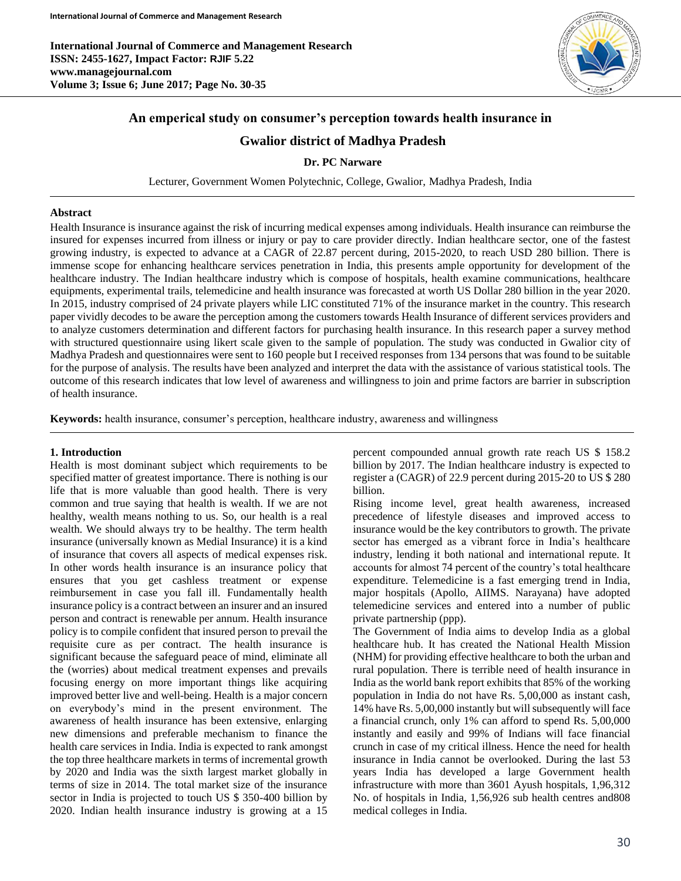

# **An emperical study on consumer's perception towards health insurance in**

# **Gwalior district of Madhya Pradesh**

**Dr. PC Narware**

Lecturer, Government Women Polytechnic, College, Gwalior, Madhya Pradesh, India

#### **Abstract**

Health Insurance is insurance against the risk of incurring medical expenses among individuals. Health insurance can reimburse the insured for expenses incurred from illness or injury or pay to care provider directly. Indian healthcare sector, one of the fastest growing industry, is expected to advance at a CAGR of 22.87 percent during, 2015-2020, to reach USD 280 billion. There is immense scope for enhancing healthcare services penetration in India, this presents ample opportunity for development of the healthcare industry. The Indian healthcare industry which is compose of hospitals, health examine communications, healthcare equipments, experimental trails, telemedicine and health insurance was forecasted at worth US Dollar 280 billion in the year 2020. In 2015, industry comprised of 24 private players while LIC constituted 71% of the insurance market in the country. This research paper vividly decodes to be aware the perception among the customers towards Health Insurance of different services providers and to analyze customers determination and different factors for purchasing health insurance. In this research paper a survey method with structured questionnaire using likert scale given to the sample of population. The study was conducted in Gwalior city of Madhya Pradesh and questionnaires were sent to 160 people but I received responses from 134 persons that was found to be suitable for the purpose of analysis. The results have been analyzed and interpret the data with the assistance of various statistical tools. The outcome of this research indicates that low level of awareness and willingness to join and prime factors are barrier in subscription of health insurance.

**Keywords:** health insurance, consumer's perception, healthcare industry, awareness and willingness

### **1. Introduction**

Health is most dominant subject which requirements to be specified matter of greatest importance. There is nothing is our life that is more valuable than good health. There is very common and true saying that health is wealth. If we are not healthy, wealth means nothing to us. So, our health is a real wealth. We should always try to be healthy. The term health insurance (universally known as Medial Insurance) it is a kind of insurance that covers all aspects of medical expenses risk. In other words health insurance is an insurance policy that ensures that you get cashless treatment or expense reimbursement in case you fall ill. Fundamentally health insurance policy is a contract between an insurer and an insured person and contract is renewable per annum. Health insurance policy is to compile confident that insured person to prevail the requisite cure as per contract. The health insurance is significant because the safeguard peace of mind, eliminate all the (worries) about medical treatment expenses and prevails focusing energy on more important things like acquiring improved better live and well-being. Health is a major concern on everybody's mind in the present environment. The awareness of health insurance has been extensive, enlarging new dimensions and preferable mechanism to finance the health care services in India. India is expected to rank amongst the top three healthcare markets in terms of incremental growth by 2020 and India was the sixth largest market globally in terms of size in 2014. The total market size of the insurance sector in India is projected to touch US \$ 350-400 billion by 2020. Indian health insurance industry is growing at a 15 percent compounded annual growth rate reach US \$ 158.2 billion by 2017. The Indian healthcare industry is expected to register a (CAGR) of 22.9 percent during 2015-20 to US \$ 280 billion.

Rising income level, great health awareness, increased precedence of lifestyle diseases and improved access to insurance would be the key contributors to growth. The private sector has emerged as a vibrant force in India's healthcare industry, lending it both national and international repute. It accounts for almost 74 percent of the country's total healthcare expenditure. Telemedicine is a fast emerging trend in India, major hospitals (Apollo, AIIMS. Narayana) have adopted telemedicine services and entered into a number of public private partnership (ppp).

The Government of India aims to develop India as a global healthcare hub. It has created the National Health Mission (NHM) for providing effective healthcare to both the urban and rural population. There is terrible need of health insurance in India as the world bank report exhibits that 85% of the working population in India do not have Rs. 5,00,000 as instant cash, 14% have Rs. 5,00,000 instantly but will subsequently will face a financial crunch, only 1% can afford to spend Rs. 5,00,000 instantly and easily and 99% of Indians will face financial crunch in case of my critical illness. Hence the need for health insurance in India cannot be overlooked. During the last 53 years India has developed a large Government health infrastructure with more than 3601 Ayush hospitals, 1,96,312 No. of hospitals in India, 1,56,926 sub health centres and808 medical colleges in India.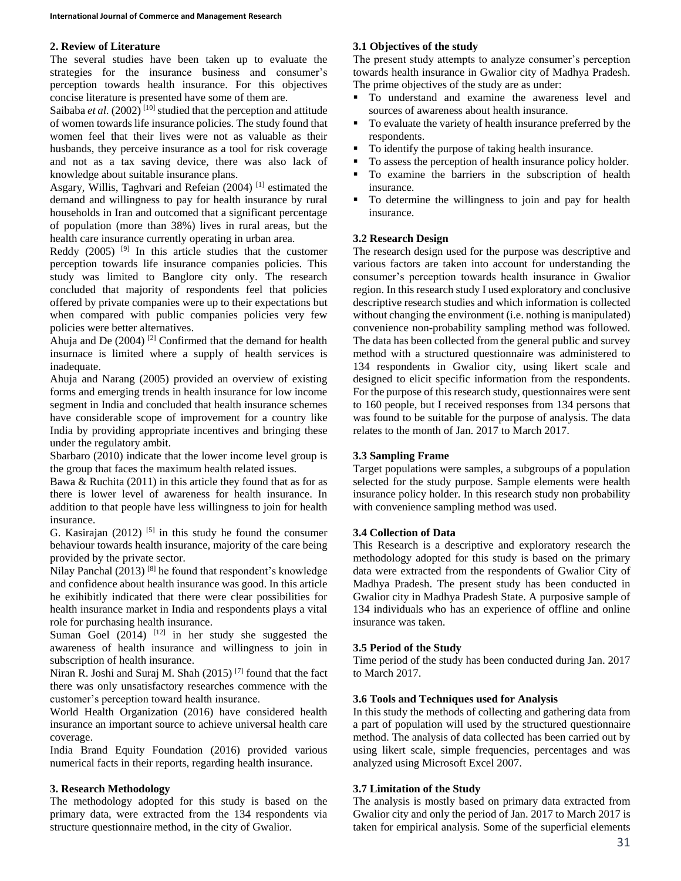### **2. Review of Literature**

The several studies have been taken up to evaluate the strategies for the insurance business and consumer's perception towards health insurance. For this objectives concise literature is presented have some of them are.

Saibaba *et al.*  $(2002)^{[10]}$  studied that the perception and attitude of women towards life insurance policies. The study found that women feel that their lives were not as valuable as their husbands, they perceive insurance as a tool for risk coverage and not as a tax saving device, there was also lack of knowledge about suitable insurance plans.

Asgary, Willis, Taghvari and Refeian (2004) [1] estimated the demand and willingness to pay for health insurance by rural households in Iran and outcomed that a significant percentage of population (more than 38%) lives in rural areas, but the health care insurance currently operating in urban area.

Reddy  $(2005)$  <sup>[9]</sup> In this article studies that the customer perception towards life insurance companies policies. This study was limited to Banglore city only. The research concluded that majority of respondents feel that policies offered by private companies were up to their expectations but when compared with public companies policies very few policies were better alternatives.

Ahuja and De  $(2004)$ <sup>[2]</sup> Confirmed that the demand for health insurnace is limited where a supply of health services is inadequate.

Ahuja and Narang (2005) provided an overview of existing forms and emerging trends in health insurance for low income segment in India and concluded that health insurance schemes have considerable scope of improvement for a country like India by providing appropriate incentives and bringing these under the regulatory ambit.

Sbarbaro (2010) indicate that the lower income level group is the group that faces the maximum health related issues.

Bawa & Ruchita (2011) in this article they found that as for as there is lower level of awareness for health insurance. In addition to that people have less willingness to join for health insurance.

G. Kasirajan  $(2012)$  <sup>[5]</sup> in this study he found the consumer behaviour towards health insurance, majority of the care being provided by the private sector.

Nilay Panchal (2013)<sup>[8]</sup> he found that respondent's knowledge and confidence about health insurance was good. In this article he exihibitly indicated that there were clear possibilities for health insurance market in India and respondents plays a vital role for purchasing health insurance.

Suman Goel (2014) <sup>[12]</sup> in her study she suggested the awareness of health insurance and willingness to join in subscription of health insurance.

Niran R. Joshi and Suraj M. Shah (2015)<sup>[7]</sup> found that the fact there was only unsatisfactory researches commence with the customer's perception toward health insurance.

World Health Organization (2016) have considered health insurance an important source to achieve universal health care coverage.

India Brand Equity Foundation (2016) provided various numerical facts in their reports, regarding health insurance.

### **3. Research Methodology**

The methodology adopted for this study is based on the primary data, were extracted from the 134 respondents via structure questionnaire method, in the city of Gwalior.

## **3.1 Objectives of the study**

The present study attempts to analyze consumer's perception towards health insurance in Gwalior city of Madhya Pradesh. The prime objectives of the study are as under:

- To understand and examine the awareness level and sources of awareness about health insurance.
- To evaluate the variety of health insurance preferred by the respondents.
- To identify the purpose of taking health insurance.
- To assess the perception of health insurance policy holder.
- To examine the barriers in the subscription of health insurance.
- To determine the willingness to join and pay for health insurance.

## **3.2 Research Design**

The research design used for the purpose was descriptive and various factors are taken into account for understanding the consumer's perception towards health insurance in Gwalior region. In this research study I used exploratory and conclusive descriptive research studies and which information is collected without changing the environment (i.e. nothing is manipulated) convenience non-probability sampling method was followed. The data has been collected from the general public and survey method with a structured questionnaire was administered to 134 respondents in Gwalior city, using likert scale and designed to elicit specific information from the respondents. For the purpose of this research study, questionnaires were sent to 160 people, but I received responses from 134 persons that was found to be suitable for the purpose of analysis. The data relates to the month of Jan. 2017 to March 2017.

## **3.3 Sampling Frame**

Target populations were samples, a subgroups of a population selected for the study purpose. Sample elements were health insurance policy holder. In this research study non probability with convenience sampling method was used.

## **3.4 Collection of Data**

This Research is a descriptive and exploratory research the methodology adopted for this study is based on the primary data were extracted from the respondents of Gwalior City of Madhya Pradesh. The present study has been conducted in Gwalior city in Madhya Pradesh State. A purposive sample of 134 individuals who has an experience of offline and online insurance was taken.

### **3.5 Period of the Study**

Time period of the study has been conducted during Jan. 2017 to March 2017.

### **3.6 Tools and Techniques used for Analysis**

In this study the methods of collecting and gathering data from a part of population will used by the structured questionnaire method. The analysis of data collected has been carried out by using likert scale, simple frequencies, percentages and was analyzed using Microsoft Excel 2007.

## **3.7 Limitation of the Study**

The analysis is mostly based on primary data extracted from Gwalior city and only the period of Jan. 2017 to March 2017 is taken for empirical analysis. Some of the superficial elements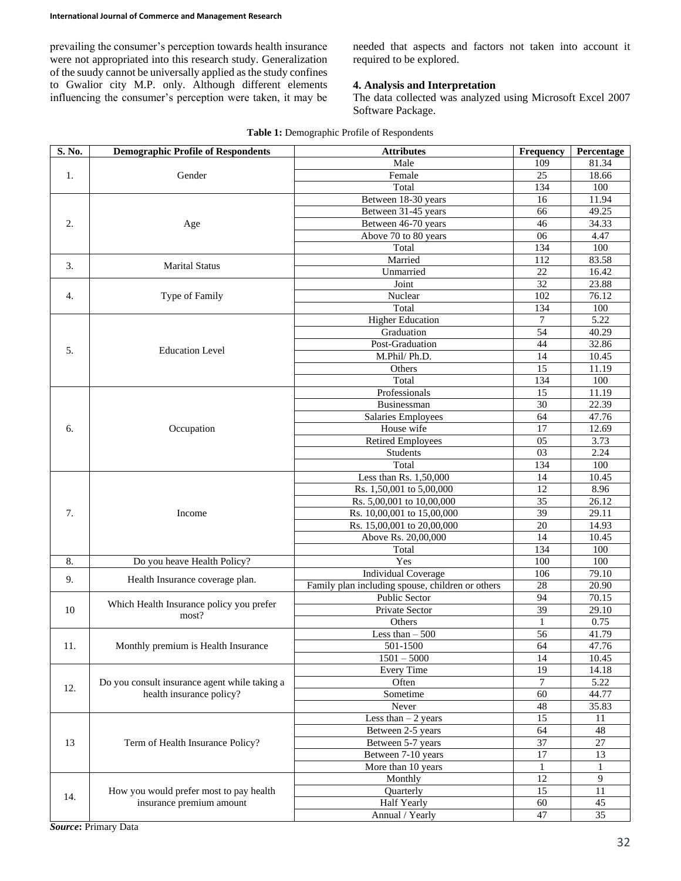prevailing the consumer's perception towards health insurance were not appropriated into this research study. Generalization of the suudy cannot be universally applied as the study confines to Gwalior city M.P. only. Although different elements influencing the consumer's perception were taken, it may be needed that aspects and factors not taken into account it required to be explored.

## **4. Analysis and Interpretation**

The data collected was analyzed using Microsoft Excel 2007 Software Package.

| S. No. | <b>Demographic Profile of Respondents</b>                                 | <b>Attributes</b>                                | Frequency        | Percentage     |
|--------|---------------------------------------------------------------------------|--------------------------------------------------|------------------|----------------|
| 1.     | Gender                                                                    | Male                                             | 109              | 81.34          |
|        |                                                                           | Female                                           | 25               | 18.66          |
|        |                                                                           | Total                                            | 134              | 100            |
|        |                                                                           | Between 18-30 years                              | 16               | 11.94          |
| 2.     |                                                                           | Between 31-45 years                              | 66               | 49.25          |
|        | Age                                                                       | Between 46-70 years                              | 46               | 34.33          |
|        |                                                                           | Above 70 to 80 years                             | 06               | 4.47           |
|        |                                                                           | Total                                            | 134              | 100            |
|        |                                                                           | Married                                          | 112              | 83.58          |
| 3.     | <b>Marital Status</b>                                                     | Unmarried                                        | 22               | 16.42          |
|        |                                                                           | Joint                                            | 32               | 23.88          |
|        |                                                                           |                                                  |                  |                |
| 4.     | Type of Family                                                            | Nuclear                                          | 102              | 76.12          |
|        |                                                                           | Total                                            | 134              | 100            |
|        |                                                                           | <b>Higher Education</b>                          | $\boldsymbol{7}$ | 5.22           |
|        |                                                                           | Graduation                                       | 54               | 40.29          |
| 5.     | <b>Education Level</b>                                                    | Post-Graduation                                  | 44               | 32.86          |
|        |                                                                           | M.Phil/Ph.D.                                     | 14               | 10.45          |
|        |                                                                           | Others                                           | 15               | 11.19          |
|        |                                                                           | Total                                            | 134              | 100            |
|        |                                                                           | Professionals                                    | 15               | 11.19          |
|        |                                                                           | Businessman                                      | 30               | 22.39          |
|        |                                                                           | Salaries Employees                               | 64               | 47.76          |
| 6.     | Occupation                                                                | House wife                                       | 17               | 12.69          |
|        |                                                                           | <b>Retired Employees</b>                         | 05               | 3.73           |
|        |                                                                           | Students                                         | 03               | 2.24           |
|        |                                                                           | Total                                            | 134              | 100            |
|        |                                                                           | Less than Rs. 1,50,000                           | 14               | 10.45          |
|        |                                                                           | Rs. 1,50,001 to 5,00,000                         | 12               | 8.96           |
|        |                                                                           | Rs. 5,00,001 to 10,00,000                        | 35               | 26.12          |
| 7.     | Income                                                                    | Rs. 10,00,001 to 15,00,000                       | 39               | 29.11          |
|        |                                                                           | Rs. 15,00,001 to 20,00,000                       | 20               | 14.93          |
|        |                                                                           | Above Rs. 20,00,000                              | 14               | 10.45          |
|        |                                                                           | Total                                            | 134              | 100            |
| 8.     | Do you heave Health Policy?                                               | Yes                                              | 100              | 100            |
|        |                                                                           | <b>Individual Coverage</b>                       | 106              | 79.10          |
| 9.     | Health Insurance coverage plan.                                           |                                                  |                  |                |
|        |                                                                           | Family plan including spouse, children or others | 28               | 20.90          |
|        | Which Health Insurance policy you prefer<br>most?                         | Public Sector                                    | 94               | 70.15          |
| 10     |                                                                           | Private Sector                                   | 39               | 29.10          |
|        |                                                                           | Others                                           | 1                | 0.75           |
|        | Monthly premium is Health Insurance                                       | Less than $-500$                                 | 56               | 41.79          |
| 11.    |                                                                           | $501-1500$                                       | 64               | 47.76          |
|        |                                                                           | $1501 - 5000$                                    | 14               | 10.45          |
|        | Do you consult insurance agent while taking a<br>health insurance policy? | <b>Every Time</b>                                | 19               | 14.18          |
| 12.    |                                                                           | Often                                            | $\boldsymbol{7}$ | 5.22           |
|        |                                                                           | Sometime                                         | 60               | 44.77          |
|        |                                                                           | Never                                            | 48               | 35.83          |
|        | Term of Health Insurance Policy?                                          | Less than $-2$ years                             | $\overline{15}$  | 11             |
| 13     |                                                                           | Between 2-5 years                                | 64               | 48             |
|        |                                                                           | Between 5-7 years                                | 37               | $27\,$         |
|        |                                                                           | Between 7-10 years                               | 17               | 13             |
|        |                                                                           | More than 10 years                               | 1                | 1              |
|        |                                                                           | Monthly                                          | 12               | $\overline{9}$ |
|        | How you would prefer most to pay health<br>insurance premium amount       | Quarterly                                        | 15               | 11             |
| 14.    |                                                                           | <b>Half Yearly</b>                               | 60               | 45             |
|        |                                                                           | Annual / Yearly                                  | 47               | 35             |
|        |                                                                           |                                                  |                  |                |

#### **Table 1:** Demographic Profile of Respondents

*Source***:** Primary Data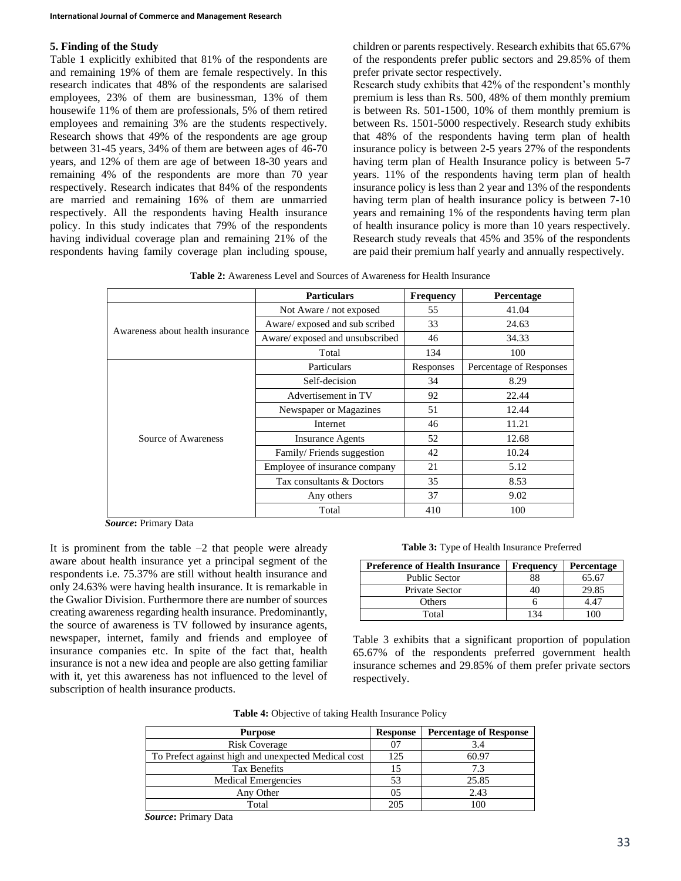### **5. Finding of the Study**

Table 1 explicitly exhibited that 81% of the respondents are and remaining 19% of them are female respectively. In this research indicates that 48% of the respondents are salarised employees, 23% of them are businessman, 13% of them housewife 11% of them are professionals, 5% of them retired employees and remaining 3% are the students respectively. Research shows that 49% of the respondents are age group between 31-45 years, 34% of them are between ages of 46-70 years, and 12% of them are age of between 18-30 years and remaining 4% of the respondents are more than 70 year respectively. Research indicates that 84% of the respondents are married and remaining 16% of them are unmarried respectively. All the respondents having Health insurance policy. In this study indicates that 79% of the respondents having individual coverage plan and remaining 21% of the respondents having family coverage plan including spouse, children or parents respectively. Research exhibits that 65.67% of the respondents prefer public sectors and 29.85% of them prefer private sector respectively.

Research study exhibits that 42% of the respondent's monthly premium is less than Rs. 500, 48% of them monthly premium is between Rs. 501-1500, 10% of them monthly premium is between Rs. 1501-5000 respectively. Research study exhibits that 48% of the respondents having term plan of health insurance policy is between 2-5 years 27% of the respondents having term plan of Health Insurance policy is between 5-7 years. 11% of the respondents having term plan of health insurance policy is less than 2 year and 13% of the respondents having term plan of health insurance policy is between 7-10 years and remaining 1% of the respondents having term plan of health insurance policy is more than 10 years respectively. Research study reveals that 45% and 35% of the respondents are paid their premium half yearly and annually respectively.

**Table 2:** Awareness Level and Sources of Awareness for Health Insurance

|                                  | <b>Particulars</b>              | <b>Frequency</b> | <b>Percentage</b>       |
|----------------------------------|---------------------------------|------------------|-------------------------|
|                                  | Not Aware / not exposed         | 55               | 41.04                   |
| Awareness about health insurance | Aware/ exposed and sub scribed  | 33               | 24.63                   |
|                                  | Aware/ exposed and unsubscribed | 46               | 34.33                   |
|                                  | Total                           | 134              | 100                     |
|                                  | Particulars                     | Responses        | Percentage of Responses |
|                                  | Self-decision                   | 34               | 8.29                    |
|                                  | Advertisement in TV             | 92               | 22.44                   |
|                                  | Newspaper or Magazines          | 51               | 12.44                   |
|                                  | Internet                        | 46               | 11.21                   |
| Source of Awareness              | <b>Insurance Agents</b>         | 52               | 12.68                   |
|                                  | Family/Friends suggestion       | 42               | 10.24                   |
|                                  | Employee of insurance company   | 21               | 5.12                    |
|                                  | Tax consultants & Doctors       | 35               | 8.53                    |
|                                  | Any others                      | 37               | 9.02                    |
|                                  | Total                           | 410              | 100                     |

*Source***:** Primary Data

It is prominent from the table  $-2$  that people were already aware about health insurance yet a principal segment of the respondents i.e. 75.37% are still without health insurance and only 24.63% were having health insurance. It is remarkable in the Gwalior Division. Furthermore there are number of sources creating awareness regarding health insurance. Predominantly, the source of awareness is TV followed by insurance agents, newspaper, internet, family and friends and employee of insurance companies etc. In spite of the fact that, health insurance is not a new idea and people are also getting familiar with it, yet this awareness has not influenced to the level of subscription of health insurance products.

**Table 3:** Type of Health Insurance Preferred

| <b>Preference of Health Insurance</b> | <b>Frequency</b> | <b>Percentage</b> |  |
|---------------------------------------|------------------|-------------------|--|
| <b>Public Sector</b>                  | 88               | 65.67             |  |
| Private Sector                        |                  | 29.85             |  |
| Others                                |                  | 4.47              |  |
| Total                                 |                  | ഥറ                |  |

Table 3 exhibits that a significant proportion of population 65.67% of the respondents preferred government health insurance schemes and 29.85% of them prefer private sectors respectively.

|  |  |  |  | Table 4: Objective of taking Health Insurance Policy |  |
|--|--|--|--|------------------------------------------------------|--|
|--|--|--|--|------------------------------------------------------|--|

| <b>Purpose</b>                                      | <b>Response</b> | <b>Percentage of Response</b> |
|-----------------------------------------------------|-----------------|-------------------------------|
| <b>Risk Coverage</b>                                | 07              | 3.4                           |
| To Prefect against high and unexpected Medical cost | 125             | 60.97                         |
| <b>Tax Benefits</b>                                 | 15              | 7.3                           |
| Medical Emergencies                                 | 53              | 25.85                         |
| Any Other                                           | 05              | 2.43                          |
| Total                                               | 205             | 100                           |

*Source***:** Primary Data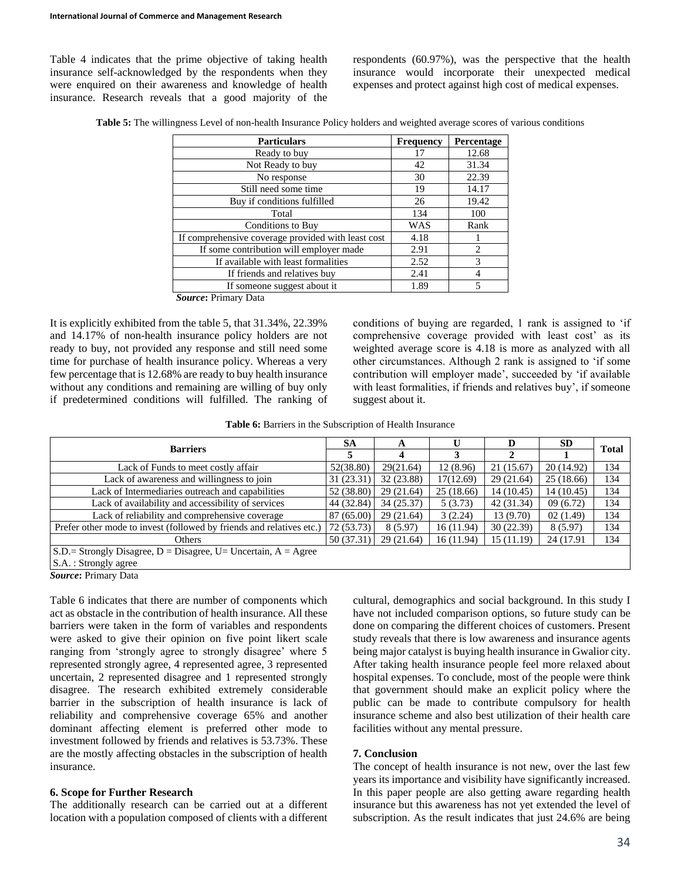Table 4 indicates that the prime objective of taking health insurance self-acknowledged by the respondents when they were enquired on their awareness and knowledge of health insurance. Research reveals that a good majority of the

respondents (60.97%), was the perspective that the health insurance would incorporate their unexpected medical expenses and protect against high cost of medical expenses.

**Table 5:** The willingness Level of non-health Insurance Policy holders and weighted average scores of various conditions

| <b>Particulars</b>                                 | <b>Frequency</b> | Percentage     |
|----------------------------------------------------|------------------|----------------|
| Ready to buy                                       | 17               | 12.68          |
| Not Ready to buy                                   | 42               | 31.34          |
| No response                                        | 30               | 22.39          |
| Still need some time                               | 19               | 14.17          |
| Buy if conditions fulfilled                        | 26               | 19.42          |
| Total                                              | 134              | 100            |
| Conditions to Buy                                  | WAS              | Rank           |
| If comprehensive coverage provided with least cost | 4.18             |                |
| If some contribution will employer made            | 2.91             | $\mathfrak{D}$ |
| If available with least formalities                | 2.52             | 3              |
| If friends and relatives buy                       | 2.41             |                |
| If someone suggest about it                        | 1.89             | 5              |

*Source***:** Primary Data

It is explicitly exhibited from the table 5, that 31.34%, 22.39% and 14.17% of non-health insurance policy holders are not ready to buy, not provided any response and still need some time for purchase of health insurance policy. Whereas a very few percentage that is 12.68% are ready to buy health insurance without any conditions and remaining are willing of buy only if predetermined conditions will fulfilled. The ranking of conditions of buying are regarded, 1 rank is assigned to 'if comprehensive coverage provided with least cost' as its weighted average score is 4.18 is more as analyzed with all other circumstances. Although 2 rank is assigned to 'if some contribution will employer made', succeeded by 'if available with least formalities, if friends and relatives buy', if someone suggest about it.

**Table 6:** Barriers in the Subscription of Health Insurance

| <b>Barriers</b>                                                                                 |            | A          |           | D          | <b>SD</b>  | <b>Total</b> |  |
|-------------------------------------------------------------------------------------------------|------------|------------|-----------|------------|------------|--------------|--|
|                                                                                                 |            | $\Lambda$  | 3         | 2          |            |              |  |
| Lack of Funds to meet costly affair                                                             | 52(38.80)  | 29(21.64)  | 12(8.96)  | 21(15.67)  | 20 (14.92) | 134          |  |
| Lack of awareness and willingness to join                                                       | 31 (23.31) | 32 (23.88) | 17(12.69) | 29(21.64)  | 25 (18.66) | 134          |  |
| Lack of Intermediaries outreach and capabilities                                                | 52 (38.80) | 29(21.64)  | 25(18.66) | 14(10.45)  | 14 (10.45) | 134          |  |
| Lack of availability and accessibility of services                                              | 44 (32.84) | 34 (25.37) | 5(3.73)   | 42 (31.34) | 09(6.72)   | 134          |  |
| Lack of reliability and comprehensive coverage                                                  | 87 (65.00) | 29(21.64)  | 3(2.24)   | 13(9.70)   | 02(1.49)   | 134          |  |
| Prefer other mode to invest (followed by friends and relatives etc.)                            | 72 (53.73) | 8(5.97)    | 16(11.94) | 30(22.39)  | 8(5.97)    | 134          |  |
| Others                                                                                          | 50(37.31)  | 29(21.64)  | 16(11.94) | 15 (11.19) | 24 (17.91) | 134          |  |
| $S.D.$ Strongly Disagree, $D = Disagree$ , U= Uncertain, A = Agree                              |            |            |           |            |            |              |  |
| S.A. : Strongly agree                                                                           |            |            |           |            |            |              |  |
| $C_{\text{average}}$ $\overline{\text{D}}_{\text{average}}$ $\overline{\text{D}}_{\text{data}}$ |            |            |           |            |            |              |  |

*Source***:** Primary Data

Table 6 indicates that there are number of components which act as obstacle in the contribution of health insurance. All these barriers were taken in the form of variables and respondents were asked to give their opinion on five point likert scale ranging from 'strongly agree to strongly disagree' where 5 represented strongly agree, 4 represented agree, 3 represented uncertain, 2 represented disagree and 1 represented strongly disagree. The research exhibited extremely considerable barrier in the subscription of health insurance is lack of reliability and comprehensive coverage 65% and another dominant affecting element is preferred other mode to investment followed by friends and relatives is 53.73%. These are the mostly affecting obstacles in the subscription of health insurance.

### **6. Scope for Further Research**

The additionally research can be carried out at a different location with a population composed of clients with a different cultural, demographics and social background. In this study I have not included comparison options, so future study can be done on comparing the different choices of customers. Present study reveals that there is low awareness and insurance agents being major catalyst is buying health insurance in Gwalior city. After taking health insurance people feel more relaxed about hospital expenses. To conclude, most of the people were think that government should make an explicit policy where the public can be made to contribute compulsory for health insurance scheme and also best utilization of their health care facilities without any mental pressure.

### **7. Conclusion**

The concept of health insurance is not new, over the last few years its importance and visibility have significantly increased. In this paper people are also getting aware regarding health insurance but this awareness has not yet extended the level of subscription. As the result indicates that just 24.6% are being